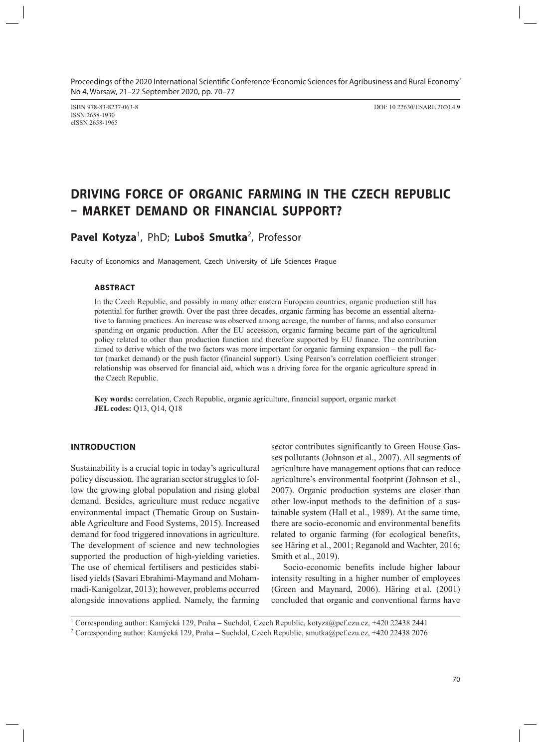ISSN 2658-1930 eISSN 2658-1965

ISBN 978-83-8237-063-8 DOI: 10.22630/ESARE.2020.4.9

# **DRIVING FORCE OF ORGANIC FARMING IN THE CZECH REPUBLIC – MARKET DEMAND OR FINANCIAL SUPPORT?**

Pavel Kotyza<sup>1</sup>, PhD; Luboš Smutka<sup>2</sup>, Professor

Faculty of Economics and Management, Czech University of Life Sciences Prague

## **ABSTRACT**

In the Czech Republic, and possibly in many other eastern European countries, organic production still has potential for further growth. Over the past three decades, organic farming has become an essential alternative to farming practices. An increase was observed among acreage, the number of farms, and also consumer spending on organic production. After the EU accession, organic farming became part of the agricultural policy related to other than production function and therefore supported by EU finance. The contribution aimed to derive which of the two factors was more important for organic farming expansion – the pull factor (market demand) or the push factor (financial support). Using Pearson's correlation coefficient stronger relationship was observed for financial aid, which was a driving force for the organic agriculture spread in the Czech Republic.

**Key words:** correlation, Czech Republic, organic agriculture, financial support, organic market **JEL codes:** Q13, Q14, Q18

## **INTRODUCTION**

Sustainability is a crucial topic in today's agricultural policy discussion. The agrarian sector struggles to follow the growing global population and rising global demand. Besides, agriculture must reduce negative environmental impact (Thematic Group on Sustainable Agriculture and Food Systems, 2015). Increased demand for food triggered innovations in agriculture. The development of science and new technologies supported the production of high-yielding varieties. The use of chemical fertilisers and pesticides stabilised yields (Savari Ebrahimi-Maymand and Mohammadi-Kanigolzar, 2013); however, problems occurred alongside innovations applied. Namely, the farming

sector contributes significantly to Green House Gasses pollutants (Johnson et al., 2007). All segments of agriculture have management options that can reduce agriculture's environmental footprint (Johnson et al., 2007). Organic production systems are closer than other low-input methods to the definition of a sustainable system (Hall et al., 1989). At the same time, there are socio-economic and environmental benefits related to organic farming (for ecological benefits, see Häring et al., 2001; Reganold and Wachter, 2016; Smith et al., 2019).

Socio-economic benefits include higher labour intensity resulting in a higher number of employees (Green and Maynard, 2006). Häring et al. (2001) concluded that organic and conventional farms have

<sup>1</sup> Corresponding author: Kamýcká 129, Praha **–** Suchdol, Czech Republic, kotyza@pef.czu.cz, +420 22438 2441 <sup>2</sup> Corresponding author: Kamýcká 129, Praha **–** Suchdol, Czech Republic, smutka@pef.czu.cz, +420 22438 2076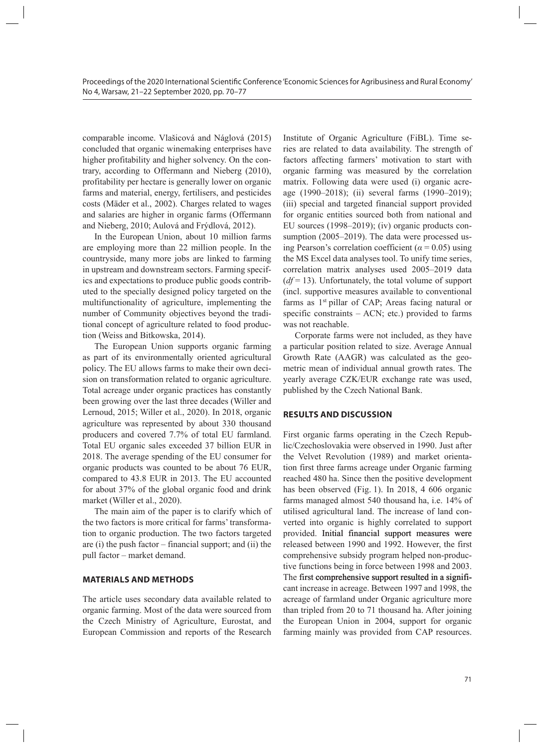comparable income. Vlašicová and Náglová (2015) concluded that organic winemaking enterprises have higher profitability and higher solvency. On the contrary, according to Offermann and Nieberg (2010), profitability per hectare is generally lower on organic farms and material, energy, fertilisers, and pesticides costs (Mäder et al., 2002). Charges related to wages and salaries are higher in organic farms (Offermann and Nieberg, 2010; Aulová and Frýdlová, 2012).

In the European Union, about 10 million farms are employing more than 22 million people. In the countryside, many more jobs are linked to farming in upstream and downstream sectors. Farming specifics and expectations to produce public goods contributed to the specially designed policy targeted on the multifunctionality of agriculture, implementing the number of Community objectives beyond the traditional concept of agriculture related to food production (Weiss and Bitkowska, 2014).

The European Union supports organic farming as part of its environmentally oriented agricultural policy. The EU allows farms to make their own decision on transformation related to organic agriculture. Total acreage under organic practices has constantly been growing over the last three decades (Willer and Lernoud, 2015; Willer et al., 2020). In 2018, organic agriculture was represented by about 330 thousand producers and covered 7.7% of total EU farmland. Total EU organic sales exceeded 37 billion EUR in 2018. The average spending of the EU consumer for organic products was counted to be about 76 EUR, compared to 43.8 EUR in 2013. The EU accounted for about 37% of the global organic food and drink market (Willer et al., 2020).

The main aim of the paper is to clarify which of the two factors is more critical for farms' transformation to organic production. The two factors targeted are (i) the push factor – financial support; and (ii) the pull factor – market demand.

### **MATERIALS AND METHODS**

The article uses secondary data available related to organic farming. Most of the data were sourced from the Czech Ministry of Agriculture, Eurostat, and European Commission and reports of the Research

Institute of Organic Agriculture (FiBL). Time series are related to data availability. The strength of factors affecting farmers' motivation to start with organic farming was measured by the correlation matrix. Following data were used (i) organic acreage (1990–2018); (ii) several farms (1990–2019); (iii) special and targeted financial support provided for organic entities sourced both from national and EU sources (1998–2019); (iv) organic products consumption (2005–2019). The data were processed using Pearson's correlation coefficient ( $\alpha$  = 0.05) using the MS Excel data analyses tool. To unify time series, correlation matrix analyses used 2005–2019 data  $(df=13)$ . Unfortunately, the total volume of support (incl. supportive measures available to conventional farms as 1<sup>st</sup> pillar of CAP; Areas facing natural or specific constraints  $-$  ACN; etc.) provided to farms was not reachable.

Corporate farms were not included, as they have a particular position related to size. Average Annual Growth Rate (AAGR) was calculated as the geometric mean of individual annual growth rates. The yearly average CZK/EUR exchange rate was used, published by the Czech National Bank.

#### **RESULTS AND DISCUSSION**

First organic farms operating in the Czech Republic/Czechoslovakia were observed in 1990. Just after the Velvet Revolution (1989) and market orientation first three farms acreage under Organic farming reached 480 ha. Since then the positive development has been observed (Fig. 1). In 2018, 4 606 organic farms managed almost 540 thousand ha, i.e. 14% of utilised agricultural land. The increase of land converted into organic is highly correlated to support provided. Initial financial support measures were released between 1990 and 1992. However, the first comprehensive subsidy program helped non-productive functions being in force between 1998 and 2003. The first comprehensive support resulted in a significant increase in acreage. Between 1997 and 1998, the acreage of farmland under Organic agriculture more than tripled from 20 to 71 thousand ha. After joining the European Union in 2004, support for organic farming mainly was provided from CAP resources.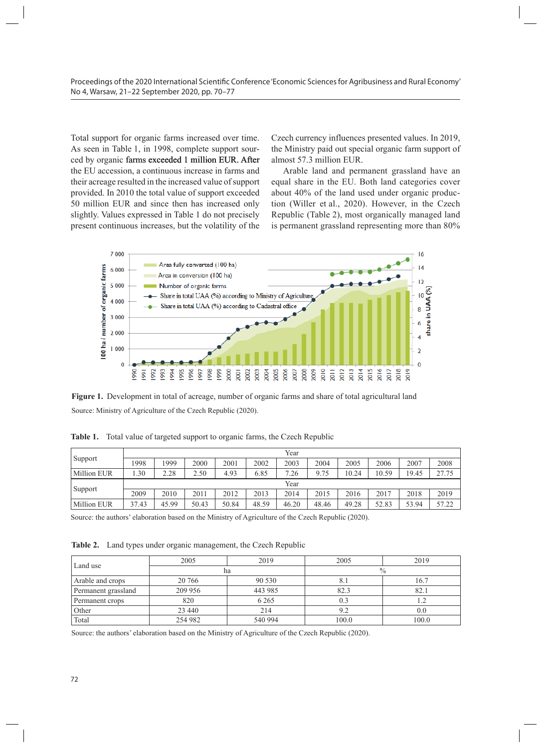Total support for organic farms increased over time. As seen in Table 1, in 1998, complete support sourced by organic farms exceeded 1 million EUR. After almost 57.3 million EUR. the EU accession, a continuous increase in farms and hart and permanent grassland h their acreage resulted in the increased value of support provided. In 2010 the total value of support exceeded 50 million EUR and since then has increased only slightly. Values expressed in Table 1 do not precisely present continuous increases, but the volatility of the farm support of almost 57.3 million EUR.

Czech currency influences presented values. In 2019, the Ministry paid out special organic farm support of almost 57.3 million EUR.

Arable land and permanent grassland have an reage resulted in the increased value of support equal share in the EU. Both land categories cover d. In 2010 the total value of support exceeded about 40% of the land used under organic producion EUR and since then has increased only tion (Willer et al., 2020). However, in the Czech . Values expressed in Table 1 do not precisely Republic (Table 2), most organically managed land continuous increases, but the volatility of the is permanent grassland representing more than 80%



**Figure 1.** Development in total of acreage, number of organic farms and share of total agricultural land Source: Ministry of Agriculture of the Czech Republic (2020). Source: Ministry of Agriculture of the Czech Republic (2020).

|                    |       |       |       |       |       | Year  |       |       |       |       |       |
|--------------------|-------|-------|-------|-------|-------|-------|-------|-------|-------|-------|-------|
| Support            | 1998  | 1999  | 2000  | 2001  | 2002  | 2003  | 2004  | 2005  | 2006  | 2007  | 2008  |
| <b>Million EUR</b> | .30   | 2.28  | 2.50  | 4.93  | 6.85  | 7.26  | 9.75  | 10.24 | 10.59 | 19.45 | 27.75 |
|                    | Year  |       |       |       |       |       |       |       |       |       |       |
| Support            | 2009  | 2010  | 2011  | 2012  | 2013  | 2014  | 2015  | 2016  | 2017  | 2018  | 2019  |
| <b>Million EUR</b> | 37.43 | 45.99 | 50.43 | 50.84 | 48.59 | 46.20 | 48.46 | 49.28 | 52.83 | 53.94 | 57.22 |

**Table 1.** Total value of targeted support to organic farms, the Czech Republic Table 1. Total value of targeted support to organic farms, the Czech Republic

Source: the authors' elaboration based on the Ministry of Agriculture of the Czech Republic (2020).

**Table 2.** Land types under organic management, the Czech Republic

| Land use            | 2005    | 2019    | 2005          | 2019  |  |
|---------------------|---------|---------|---------------|-------|--|
|                     |         | ha      | $\frac{0}{0}$ |       |  |
| Arable and crops    | 20 766  | 90 530  | 8.1           | 16.7  |  |
| Permanent grassland | 209 956 | 443 985 | 82.3          | 82.1  |  |
| Permanent crops     | 820     | 6 2 6 5 | 0.3           | 1.2   |  |
| Other               | 23 440  | 214     | 9.2           | 0.0   |  |
| Total               | 254 982 | 540 994 | 100.0         | 100.0 |  |

Source: the authors' elaboration based on the Ministry of Agriculture of the Czech Republic (2020).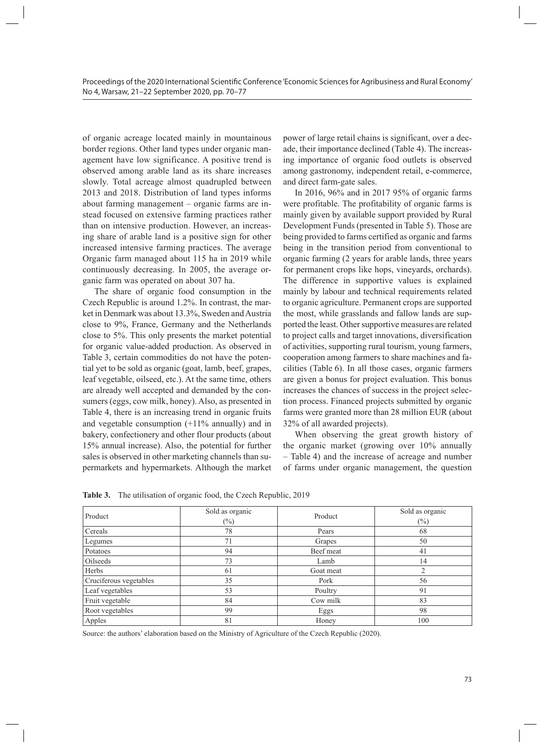of organic acreage located mainly in mountainous border regions. Other land types under organic management have low significance. A positive trend is observed among arable land as its share increases slowly. Total acreage almost quadrupled between 2013 and 2018. Distribution of land types informs about farming management – organic farms are instead focused on extensive farming practices rather than on intensive production. However, an increasing share of arable land is a positive sign for other increased intensive farming practices. The average Organic farm managed about 115 ha in 2019 while continuously decreasing. In 2005, the average organic farm was operated on about 307 ha.

The share of organic food consumption in the Czech Republic is around 1.2%. In contrast, the market in Denmark was about 13.3%, Sweden and Austria close to 9%, France, Germany and the Netherlands close to 5%. This only presents the market potential for organic value-added production. As observed in Table 3, certain commodities do not have the potential yet to be sold as organic (goat, lamb, beef, grapes, leaf vegetable, oilseed, etc.). At the same time, others are already well accepted and demanded by the consumers (eggs, cow milk, honey). Also, as presented in Table 4, there is an increasing trend in organic fruits and vegetable consumption  $(+11\%$  annually) and in bakery, confectionery and other flour products (about 15% annual increase). Also, the potential for further sales is observed in other marketing channels than supermarkets and hypermarkets. Although the market

power of large retail chains is significant, over a decade, their importance declined (Table 4). The increasing importance of organic food outlets is observed among gastronomy, independent retail, e-commerce, and direct farm-gate sales.

In 2016, 96% and in 2017 95% of organic farms were profitable. The profitability of organic farms is mainly given by available support provided by Rural Development Funds (presented in Table 5). Those are being provided to farms certified as organic and farms being in the transition period from conventional to organic farming (2 years for arable lands, three years for permanent crops like hops, vineyards, orchards). The difference in supportive values is explained mainly by labour and technical requirements related to organic agriculture. Permanent crops are supported the most, while grasslands and fallow lands are supported the least. Other supportive measures are related to project calls and target innovations, diversification of activities, supporting rural tourism, young farmers, cooperation among farmers to share machines and facilities (Table 6). In all those cases, organic farmers are given a bonus for project evaluation. This bonus increases the chances of success in the project selection process. Financed projects submitted by organic farms were granted more than 28 million EUR (about 32% of all awarded projects).

When observing the great growth history of the organic market (growing over 10% annually – Table 4) and the increase of acreage and number of farms under organic management, the question

**Table 3.** The utilisation of organic food, the Czech Republic, 2019

| Product                | Sold as organic | Product   | Sold as organic |
|------------------------|-----------------|-----------|-----------------|
|                        | $(\%)$          |           | $(\%)$          |
| Cereals                | 78              | Pears     | 68              |
| Legumes                | 71              | Grapes    | 50              |
| Potatoes               | 94              | Beef meat | 41              |
| <b>Oilseeds</b>        | 73              | Lamb      | 14              |
| Herbs                  | 61              | Goat meat | ↑               |
| Cruciferous vegetables | 35              | Pork      | 56              |
| Leaf vegetables        | 53              | Poultry   | 91              |
| Fruit vegetable        | 84              | Cow milk  | 83              |
| Root vegetables        | 99              | Eggs      | 98              |
| Apples                 | 81              | Honey     | 100             |

Source: the authors' elaboration based on the Ministry of Agriculture of the Czech Republic (2020).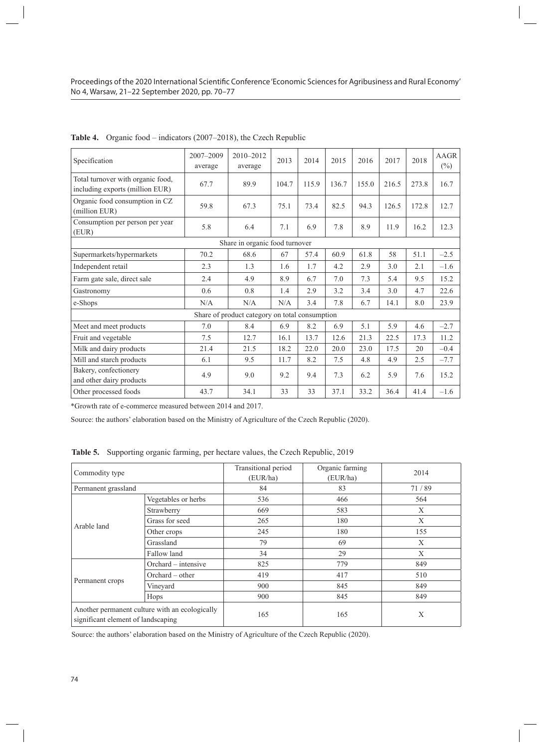| Specification                                                        | 2007-2009<br>average | 2010-2012<br>average                           | 2013  | 2014  | 2015  | 2016  | 2017  | 2018  | <b>AAGR</b><br>$(\%)$ |
|----------------------------------------------------------------------|----------------------|------------------------------------------------|-------|-------|-------|-------|-------|-------|-----------------------|
| Total turnover with organic food,<br>including exports (million EUR) | 67.7                 | 89.9                                           | 104.7 | 115.9 | 136.7 | 155.0 | 216.5 | 273.8 | 16.7                  |
| Organic food consumption in CZ<br>(million EUR)                      | 59.8                 | 67.3                                           | 75.1  | 73.4  | 82.5  | 94.3  | 126.5 | 172.8 | 12.7                  |
| Consumption per person per year<br>(EUR)                             | 5.8                  | 6.4                                            | 7.1   | 6.9   | 7.8   | 8.9   | 11.9  | 16.2  | 12.3                  |
| Share in organic food turnover                                       |                      |                                                |       |       |       |       |       |       |                       |
| Supermarkets/hypermarkets                                            | 70.2                 | 68.6                                           | 67    | 57.4  | 60.9  | 61.8  | 58    | 51.1  | $-2.5$                |
| Independent retail                                                   | 2.3                  | 1.3                                            | 1.6   | 1.7   | 4.2   | 2.9   | 3.0   | 2.1   | $-1.6$                |
| Farm gate sale, direct sale                                          | 2.4                  | 4.9                                            | 8.9   | 6.7   | 7.0   | 7.3   | 5.4   | 9.5   | 15.2                  |
| Gastronomy                                                           | 0.6                  | 0.8                                            | 1.4   | 2.9   | 3.2   | 3.4   | 3.0   | 4.7   | 22.6                  |
| e-Shops                                                              | N/A                  | N/A                                            | N/A   | 3.4   | 7.8   | 6.7   | 14.1  | 8.0   | 23.9                  |
|                                                                      |                      | Share of product category on total consumption |       |       |       |       |       |       |                       |
| Meet and meet products                                               | 7.0                  | 8.4                                            | 6.9   | 8.2   | 6.9   | 5.1   | 5.9   | 4.6   | $-2.7$                |
| Fruit and vegetable                                                  | 7.5                  | 12.7                                           | 16.1  | 13.7  | 12.6  | 21.3  | 22.5  | 17.3  | 11.2                  |
| Milk and dairy products                                              | 21.4                 | 21.5                                           | 18.2  | 22.0  | 20.0  | 23.0  | 17.5  | 20    | $-0.4$                |
| Mill and starch products                                             | 6.1                  | 9.5                                            | 11.7  | 8.2   | 7.5   | 4.8   | 4.9   | 2.5   | $-7.7$                |
| Bakery, confectionery<br>and other dairy products                    | 4.9                  | 9.0                                            | 9.2   | 9.4   | 7.3   | 6.2   | 5.9   | 7.6   | 15.2                  |
| Other processed foods                                                | 43.7                 | 34.1                                           | 33    | 33    | 37.1  | 33.2  | 36.4  | 41.4  | $-1.6$                |

|  | <b>Table 4.</b> Organic food – indicators (2007–2018), the Czech Republic |  |  |
|--|---------------------------------------------------------------------------|--|--|
|--|---------------------------------------------------------------------------|--|--|

\*Growth rate of e-commerce measured between 2014 and 2017.

Source: the authors' elaboration based on the Ministry of Agriculture of the Czech Republic (2020).

|  |  |  |  | Table 5. Supporting organic farming, per hectare values, the Czech Republic, 2019 |
|--|--|--|--|-----------------------------------------------------------------------------------|
|--|--|--|--|-----------------------------------------------------------------------------------|

| Commodity type                                                                       |                     | Transitional period<br>(EUR/ha) | Organic farming<br>(EUR/ha) | 2014  |
|--------------------------------------------------------------------------------------|---------------------|---------------------------------|-----------------------------|-------|
| Permanent grassland                                                                  |                     | 84                              | 83                          | 71/89 |
|                                                                                      | Vegetables or herbs | 536                             | 466                         | 564   |
|                                                                                      | Strawberry          | 669                             | 583                         | X     |
|                                                                                      | Grass for seed      | 265                             | 180                         | X     |
| Arable land                                                                          | Other crops         | 245                             | 180                         | 155   |
|                                                                                      | Grassland           | 79                              | 69                          | X     |
|                                                                                      | Fallow land         | 34                              | 29                          | X     |
|                                                                                      | Orchard – intensive | 825                             | 779                         | 849   |
|                                                                                      | $Orchard - other$   | 419                             | 417                         | 510   |
| Permanent crops                                                                      | Vineyard            | 900                             | 845                         | 849   |
|                                                                                      | Hops                | 900                             | 845                         | 849   |
| Another permanent culture with an ecologically<br>significant element of landscaping |                     | 165                             | 165                         | X     |

Source: the authors' elaboration based on the Ministry of Agriculture of the Czech Republic (2020).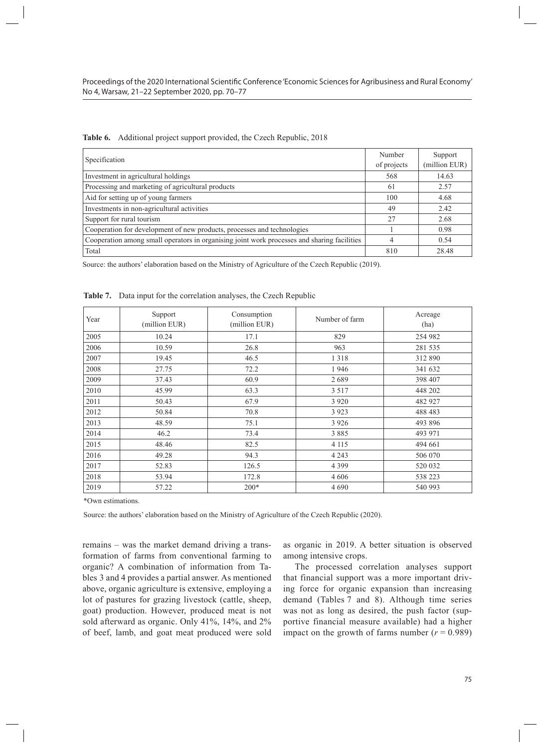| Specification                                                                               | Number<br>of projects | Support<br>(million EUR) |
|---------------------------------------------------------------------------------------------|-----------------------|--------------------------|
| Investment in agricultural holdings                                                         | 568                   | 14.63                    |
| Processing and marketing of agricultural products                                           | 61                    | 2.57                     |
| Aid for setting up of young farmers                                                         | 100                   | 4.68                     |
| Investments in non-agricultural activities                                                  | 49                    | 2.42                     |
| Support for rural tourism                                                                   | 27                    | 2.68                     |
| Cooperation for development of new products, processes and technologies                     |                       | 0.98                     |
| Cooperation among small operators in organising joint work processes and sharing facilities | 4                     | 0.54                     |
| Total                                                                                       | 810                   | 28.48                    |

**Table 6.** Additional project support provided, the Czech Republic, 2018

Source: the authors' elaboration based on the Ministry of Agriculture of the Czech Republic (2019).

| Year | Support<br>(million EUR) | Consumption<br>(million EUR) | Number of farm | Acreage<br>(ha) |
|------|--------------------------|------------------------------|----------------|-----------------|
| 2005 | 10.24                    | 17.1                         | 829            | 254 982         |
| 2006 | 10.59                    | 26.8                         | 963            | 281 535         |
| 2007 | 19.45                    | 46.5                         | 1 3 1 8        | 312 890         |
| 2008 | 27.75                    | 72.2                         | 1946           | 341 632         |
| 2009 | 37.43                    | 60.9                         | 2689           | 398 407         |
| 2010 | 45.99                    | 63.3                         | 3 5 1 7        | 448 202         |
| 2011 | 50.43                    | 67.9                         | 3 9 2 0        | 482 927         |
| 2012 | 50.84                    | 70.8                         | 3 9 2 3        | 488 483         |
| 2013 | 48.59                    | 75.1                         | 3 9 2 6        | 493 896         |
| 2014 | 46.2                     | 73.4                         | 3885           | 493 971         |
| 2015 | 48.46                    | 82.5                         | 4 1 1 5        | 494 661         |
| 2016 | 49.28                    | 94.3                         | 4 2 4 3        | 506 070         |
| 2017 | 52.83                    | 126.5                        | 4 3 9 9        | 520 032         |
| 2018 | 53.94                    | 172.8                        | 4 6 0 6        | 538 223         |
| 2019 | 57.22                    | $200*$                       | 4690           | 540 993         |

**Table 7.** Data input for the correlation analyses, the Czech Republic

\*Own estimations.

Source: the authors' elaboration based on the Ministry of Agriculture of the Czech Republic (2020).

remains – was the market demand driving a transformation of farms from conventional farming to organic? A combination of information from Tables 3 and 4 provides a partial answer. As mentioned above, organic agriculture is extensive, employing a lot of pastures for grazing livestock (cattle, sheep, goat) production. However, produced meat is not sold afterward as organic. Only 41%, 14%, and 2% of beef, lamb, and goat meat produced were sold

as organic in 2019. A better situation is observed among intensive crops.

The processed correlation analyses support that financial support was a more important driving force for organic expansion than increasing demand (Tables 7 and 8). Although time series was not as long as desired, the push factor (supportive financial measure available) had a higher impact on the growth of farms number  $(r = 0.989)$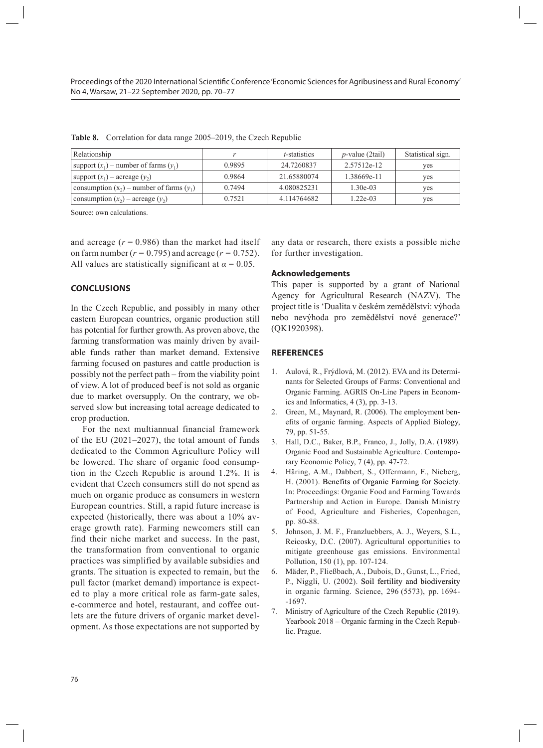| Relationship                                  |        | <i>t</i> -statistics | $p$ -value (2tail) | Statistical sign. |
|-----------------------------------------------|--------|----------------------|--------------------|-------------------|
| support $(x_1)$ – number of farms $(y_1)$     | 0.9895 | 24.7260837           | 2.57512e-12        | yes               |
| support $(x_1)$ – acreage $(y_2)$             | 0.9864 | 21.65880074          | 1.38669e-11        | ves               |
| consumption $(x_2)$ – number of farms $(y_1)$ | 0.7494 | 4.080825231          | $1.30e-03$         | yes               |
| consumption $(x_2)$ – acreage $(y_2)$         | 0.7521 | 4.114764682          | 1.22e-03           | ves               |

**Table 8.** Correlation for data range 2005–2019, the Czech Republic

Source: own calculations.

and acreage  $(r = 0.986)$  than the market had itself on farm number ( $r = 0.795$ ) and acreage ( $r = 0.752$ ). All values are statistically significant at  $\alpha = 0.05$ .

#### **CONCLUSIONS**

In the Czech Republic, and possibly in many other eastern European countries, organic production still has potential for further growth. As proven above, the farming transformation was mainly driven by available funds rather than market demand. Extensive farming focused on pastures and cattle production is possibly not the perfect path – from the viability point of view. A lot of produced beef is not sold as organic due to market oversupply. On the contrary, we observed slow but increasing total acreage dedicated to crop production.

For the next multiannual financial framework of the EU (2021–2027), the total amount of funds dedicated to the Common Agriculture Policy will be lowered. The share of organic food consumption in the Czech Republic is around 1.2%. It is evident that Czech consumers still do not spend as much on organic produce as consumers in western European countries. Still, a rapid future increase is expected (historically, there was about a 10% average growth rate). Farming newcomers still can find their niche market and success. In the past, the transformation from conventional to organic practices was simplified by available subsidies and grants. The situation is expected to remain, but the pull factor (market demand) importance is expected to play a more critical role as farm-gate sales, e-commerce and hotel, restaurant, and coffee outlets are the future drivers of organic market development. As those expectations are not supported by

any data or research, there exists a possible niche for further investigation.

#### **Acknowledgements**

This paper is supported by a grant of National Agency for Agricultural Research (NAZV). The project title is 'Dualita v českém zemědělství: výhoda nebo nevýhoda pro zemědělství nové generace?' (QK1920398).

#### **REFERENCES**

- 1. Aulová, R., Frýdlová, M. (2012). EVA and its Determinants for Selected Groups of Farms: Conventional and Organic Farming. AGRIS On-Line Papers in Economics and Informatics, 4 (3), pp. 3-13.
- 2. Green, M., Maynard, R. (2006). The employment benefits of organic farming. Aspects of Applied Biology, 79, pp. 51-55.
- 3. Hall, D.C., Baker, B.P., Franco, J., Jolly, D.A. (1989). Organic Food and Sustainable Agriculture. Contemporary Economic Policy, 7 (4), pp. 47-72.
- 4. Häring, A.M., Dabbert, S., Offermann, F., Nieberg, H. (2001). Benefits of Organic Farming for Society. In: Proceedings: Organic Food and Farming Towards Partnership and Action in Europe. Danish Ministry of Food, Agriculture and Fisheries, Copenhagen, pp. 80-88.
- 5. Johnson, J. M. F., Franzluebbers, A. J., Weyers, S.L., Reicosky, D.C. (2007). Agricultural opportunities to mitigate greenhouse gas emissions. Environmental Pollution, 150 (1), pp. 107-124.
- 6. Mäder, P., Fließbach, A., Dubois, D., Gunst, L., Fried, P., Niggli, U. (2002). Soil fertility and biodiversity in organic farming. Science, 296 (5573), pp. 1694- -1697.
- 7. Ministry of Agriculture of the Czech Republic (2019). Yearbook 2018 – Organic farming in the Czech Republic. Prague.